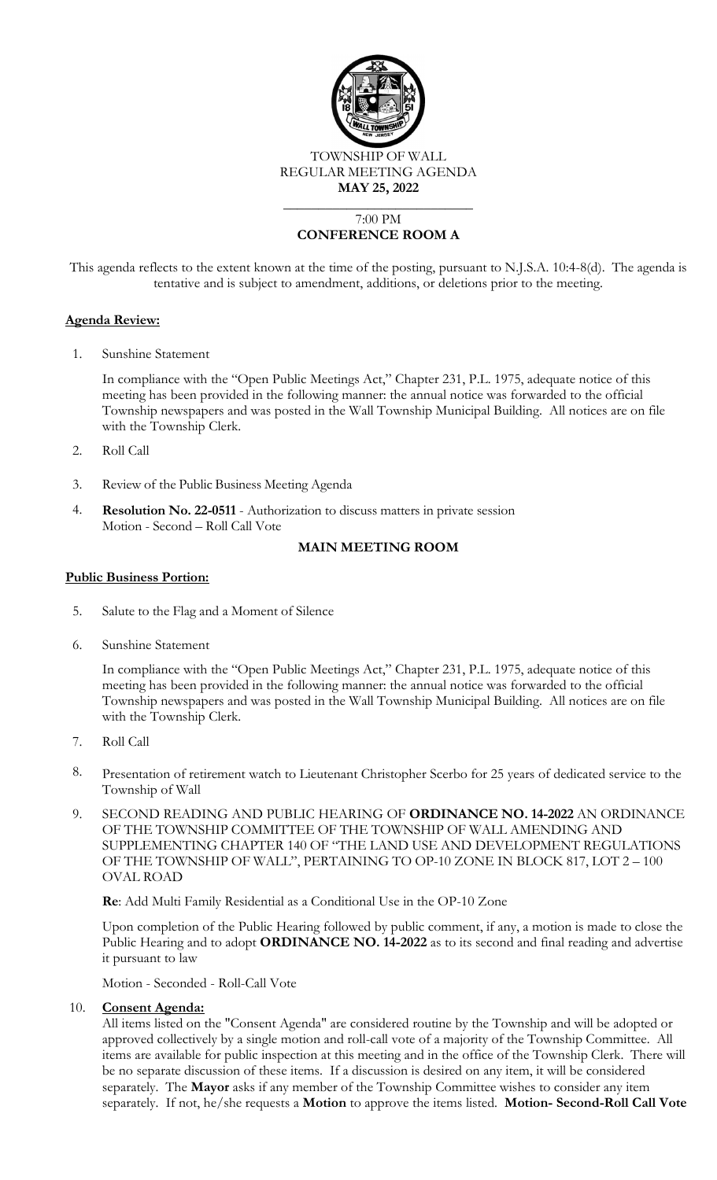

## 7:00 PM **CONFERENCE ROOM A**

This agenda reflects to the extent known at the time of the posting, pursuant to N.J.S.A. 10:4-8(d). The agenda is tentative and is subject to amendment, additions, or deletions prior to the meeting.

#### **Agenda Review:**

1. Sunshine Statement

In compliance with the "Open Public Meetings Act," Chapter 231, P.L. 1975, adequate notice of this meeting has been provided in the following manner: the annual notice was forwarded to the official Township newspapers and was posted in the Wall Township Municipal Building. All notices are on file with the Township Clerk.

- 2. Roll Call
- 3. Review of the Public Business Meeting Agenda
- 4. **Resolution No. 22-0511** Authorization to discuss matters in private session Motion - Second – Roll Call Vote

### **MAIN MEETING ROOM**

#### **Public Business Portion:**

- 5. Salute to the Flag and a Moment of Silence
- 6. Sunshine Statement

In compliance with the "Open Public Meetings Act," Chapter 231, P.L. 1975, adequate notice of this meeting has been provided in the following manner: the annual notice was forwarded to the official Township newspapers and was posted in the Wall Township Municipal Building. All notices are on file with the Township Clerk.

- 7. Roll Call
- 8. Presentation of retirement watch to Lieutenant Christopher Scerbo for 25 years of dedicated service to the Township of Wall
- 9. SECOND READING AND PUBLIC HEARING OF **ORDINANCE NO. 14-2022** AN ORDINANCE OF THE TOWNSHIP COMMITTEE OF THE TOWNSHIP OF WALL AMENDING AND SUPPLEMENTING CHAPTER 140 OF "THE LAND USE AND DEVELOPMENT REGULATIONS OF THE TOWNSHIP OF WALL", PERTAINING TO OP-10 ZONE IN BLOCK 817, LOT 2 – 100 OVAL ROAD

**Re**: Add Multi Family Residential as a Conditional Use in the OP-10 Zone

Upon completion of the Public Hearing followed by public comment, if any, a motion is made to close the Public Hearing and to adopt **ORDINANCE NO. 14-2022** as to its second and final reading and advertise it pursuant to law

Motion - Seconded - Roll-Call Vote

#### 10. **Consent Agenda:**

All items listed on the "Consent Agenda" are considered routine by the Township and will be adopted or approved collectively by a single motion and roll-call vote of a majority of the Township Committee. All items are available for public inspection at this meeting and in the office of the Township Clerk. There will be no separate discussion of these items. If a discussion is desired on any item, it will be considered separately. The **Mayor** asks if any member of the Township Committee wishes to consider any item separately. If not, he/she requests a **Motion** to approve the items listed. **Motion- Second-Roll Call Vote**